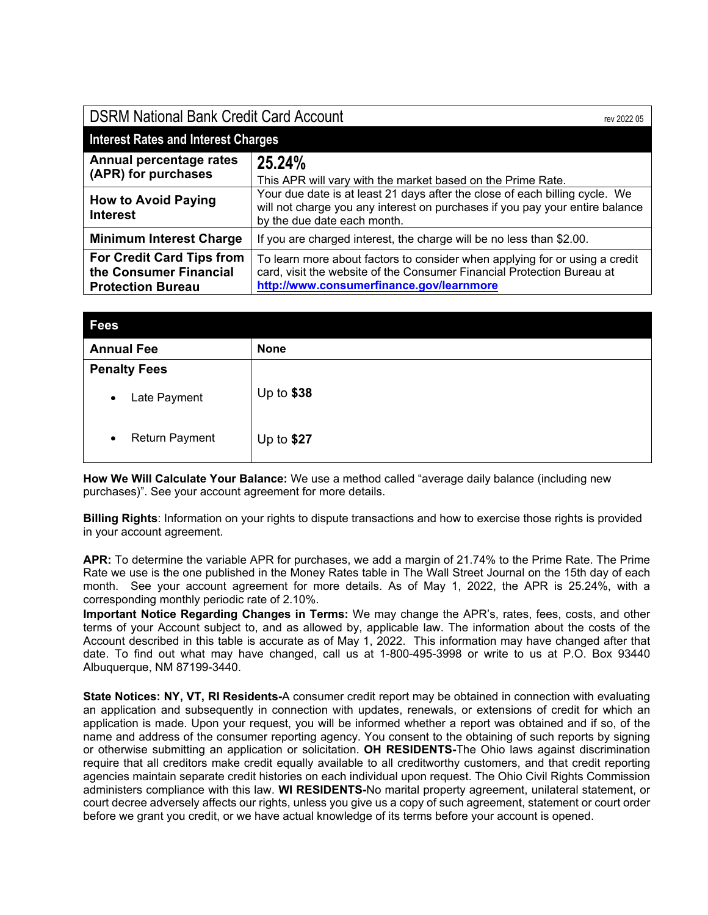| <b>DSRM National Bank Credit Card Account</b><br>rev 2022 05                           |                                                                                                                                                                                                   |
|----------------------------------------------------------------------------------------|---------------------------------------------------------------------------------------------------------------------------------------------------------------------------------------------------|
| <b>Interest Rates and Interest Charges</b>                                             |                                                                                                                                                                                                   |
| Annual percentage rates<br>(APR) for purchases                                         | 25.24%<br>This APR will vary with the market based on the Prime Rate.                                                                                                                             |
| <b>How to Avoid Paying</b><br><b>Interest</b>                                          | Your due date is at least 21 days after the close of each billing cycle. We<br>will not charge you any interest on purchases if you pay your entire balance<br>by the due date each month.        |
| <b>Minimum Interest Charge</b>                                                         | If you are charged interest, the charge will be no less than \$2.00.                                                                                                                              |
| <b>For Credit Card Tips from</b><br>the Consumer Financial<br><b>Protection Bureau</b> | To learn more about factors to consider when applying for or using a credit<br>card, visit the website of the Consumer Financial Protection Bureau at<br>http://www.consumerfinance.gov/learnmore |

| <b>Fees</b>                        |             |
|------------------------------------|-------------|
| <b>Annual Fee</b>                  | <b>None</b> |
| <b>Penalty Fees</b>                |             |
| Late Payment<br>$\bullet$          | Up to $$38$ |
| <b>Return Payment</b><br>$\bullet$ | Up to \$27  |

**How We Will Calculate Your Balance:** We use a method called "average daily balance (including new purchases)". See your account agreement for more details.

**Billing Rights**: Information on your rights to dispute transactions and how to exercise those rights is provided in your account agreement.

**APR:** To determine the variable APR for purchases, we add a margin of 21.74% to the Prime Rate. The Prime Rate we use is the one published in the Money Rates table in The Wall Street Journal on the 15th day of each month. See your account agreement for more details. As of May 1, 2022, the APR is 25.24%, with a corresponding monthly periodic rate of 2.10%.

**Important Notice Regarding Changes in Terms:** We may change the APR's, rates, fees, costs, and other terms of your Account subject to, and as allowed by, applicable law. The information about the costs of the Account described in this table is accurate as of May 1, 2022. This information may have changed after that date. To find out what may have changed, call us at 1-800-495-3998 or write to us at P.O. Box 93440 Albuquerque, NM 87199-3440.

**State Notices: NY, VT, RI Residents-**A consumer credit report may be obtained in connection with evaluating an application and subsequently in connection with updates, renewals, or extensions of credit for which an application is made. Upon your request, you will be informed whether a report was obtained and if so, of the name and address of the consumer reporting agency. You consent to the obtaining of such reports by signing or otherwise submitting an application or solicitation. **OH RESIDENTS-**The Ohio laws against discrimination require that all creditors make credit equally available to all creditworthy customers, and that credit reporting agencies maintain separate credit histories on each individual upon request. The Ohio Civil Rights Commission administers compliance with this law. **WI RESIDENTS-**No marital property agreement, unilateral statement, or court decree adversely affects our rights, unless you give us a copy of such agreement, statement or court order before we grant you credit, or we have actual knowledge of its terms before your account is opened.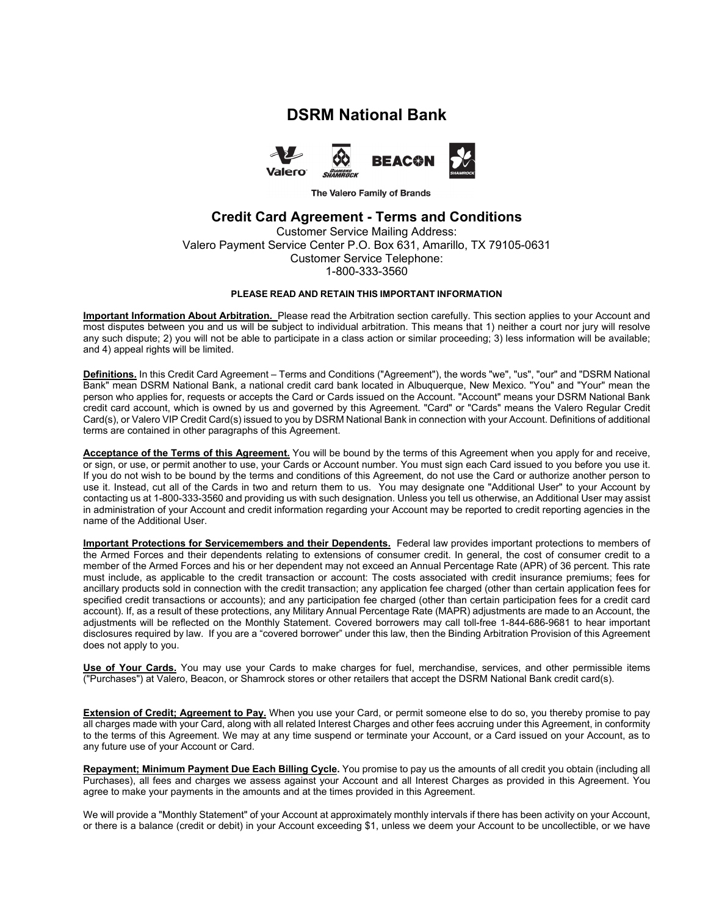# **DSRM National Bank**



The Valero Family of Brands

## **Credit Card Agreement - Terms and Conditions**

Customer Service Mailing Address: Valero Payment Service Center P.O. Box 631, Amarillo, TX 79105-0631 Customer Service Telephone: 1-800-333-3560

## **PLEASE READ AND RETAIN THIS IMPORTANT INFORMATION**

**Important Information About Arbitration.** Please read the Arbitration section carefully. This section applies to your Account and most disputes between you and us will be subject to individual arbitration. This means that 1) neither a court nor jury will resolve any such dispute; 2) you will not be able to participate in a class action or similar proceeding; 3) less information will be available; and 4) appeal rights will be limited.

**Definitions.** In this Credit Card Agreement – Terms and Conditions ("Agreement"), the words "we", "us", "our" and "DSRM National Bank" mean DSRM National Bank, a national credit card bank located in Albuquerque, New Mexico. "You" and "Your" mean the person who applies for, requests or accepts the Card or Cards issued on the Account. "Account" means your DSRM National Bank credit card account, which is owned by us and governed by this Agreement. "Card" or "Cards" means the Valero Regular Credit Card(s), or Valero VIP Credit Card(s) issued to you by DSRM National Bank in connection with your Account. Definitions of additional terms are contained in other paragraphs of this Agreement.

**Acceptance of the Terms of this Agreement.** You will be bound by the terms of this Agreement when you apply for and receive, or sign, or use, or permit another to use, your Cards or Account number. You must sign each Card issued to you before you use it. If you do not wish to be bound by the terms and conditions of this Agreement, do not use the Card or authorize another person to use it. Instead, cut all of the Cards in two and return them to us. You may designate one "Additional User" to your Account by contacting us at 1-800-333-3560 and providing us with such designation. Unless you tell us otherwise, an Additional User may assist in administration of your Account and credit information regarding your Account may be reported to credit reporting agencies in the name of the Additional User.

**Important Protections for Servicemembers and their Dependents.** Federal law provides important protections to members of the Armed Forces and their dependents relating to extensions of consumer credit. In general, the cost of consumer credit to a member of the Armed Forces and his or her dependent may not exceed an Annual Percentage Rate (APR) of 36 percent. This rate must include, as applicable to the credit transaction or account: The costs associated with credit insurance premiums; fees for ancillary products sold in connection with the credit transaction; any application fee charged (other than certain application fees for specified credit transactions or accounts); and any participation fee charged (other than certain participation fees for a credit card account). If, as a result of these protections, any Military Annual Percentage Rate (MAPR) adjustments are made to an Account, the adjustments will be reflected on the Monthly Statement. Covered borrowers may call toll-free 1-844-686-9681 to hear important disclosures required by law. If you are a "covered borrower" under this law, then the Binding Arbitration Provision of this Agreement does not apply to you.

**Use of Your Cards.** You may use your Cards to make charges for fuel, merchandise, services, and other permissible items ("Purchases") at Valero, Beacon, or Shamrock stores or other retailers that accept the DSRM National Bank credit card(s).

**Extension of Credit; Agreement to Pay.** When you use your Card, or permit someone else to do so, you thereby promise to pay all charges made with your Card, along with all related Interest Charges and other fees accruing under this Agreement, in conformity to the terms of this Agreement. We may at any time suspend or terminate your Account, or a Card issued on your Account, as to any future use of your Account or Card.

**Repayment; Minimum Payment Due Each Billing Cycle.** You promise to pay us the amounts of all credit you obtain (including all Purchases), all fees and charges we assess against your Account and all Interest Charges as provided in this Agreement. You agree to make your payments in the amounts and at the times provided in this Agreement.

We will provide a "Monthly Statement" of your Account at approximately monthly intervals if there has been activity on your Account, or there is a balance (credit or debit) in your Account exceeding \$1, unless we deem your Account to be uncollectible, or we have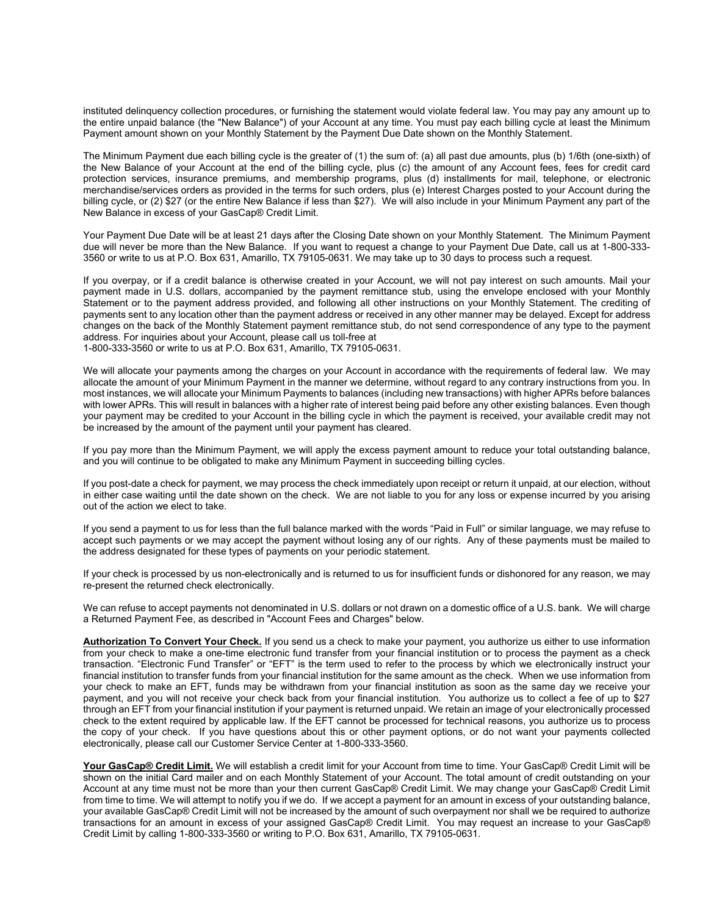instituted delinquency collection procedures, or furnishing the statement would violate federal law. You may pay any amount up to the entire unpaid balance (the "New Balance") of your Account at any time. You must pay each billing cycle at least the Minimum Payment amount shown on your Monthly Statement by the Payment Due Date shown on the Monthly Statement.

The Minimum Payment due each billing cycle is the greater of (1) the sum of: (a) all past due amounts, plus (b) 1/6th (one-sixth) of the New Balance of your Account at the end of the billing cycle, plus (c) the amount of any Account fees, fees for credit card protection services, insurance premiums, and membership programs, plus (d) installments for mail, telephone, or electronic merchandise/services orders as provided in the terms for such orders, plus (e) Interest Charges posted to your Account during the billing cycle, or (2) \$27 (or the entire New Balance if less than \$27). We will also include in your Minimum Payment any part of the New Balance in excess of your GasCap® Credit Limit.

Your Payment Due Date will be at least 21 days after the Closing Date shown on your Monthly Statement. The Minimum Payment due will never be more than the New Balance. If you want to request a change to your Payment Due Date, call us at 1-800-333- 3560 or write to us at P.O. Box 631, Amarillo, TX 79105-0631. We may take up to 30 days to process such a request.

If you overpay, or if a credit balance is otherwise created in your Account, we will not pay interest on such amounts. Mail your payment made in U.S. dollars, accompanied by the payment remittance stub, using the envelope enclosed with your Monthly Statement or to the payment address provided, and following all other instructions on your Monthly Statement. The crediting of payments sent to any location other than the payment address or received in any other manner may be delayed. Except for address changes on the back of the Monthly Statement payment remittance stub, do not send correspondence of any type to the payment address. For inquiries about your Account, please call us toll-free at 1-800-333-3560 or write to us at P.O. Box 631, Amarillo, TX 79105-0631.

We will allocate your payments among the charges on your Account in accordance with the requirements of federal law. We may allocate the amount of your Minimum Payment in the manner we determine, without regard to any contrary instructions from you. In most instances, we will allocate your Minimum Payments to balances (including new transactions) with higher APRs before balances with lower APRs. This will result in balances with a higher rate of interest being paid before any other existing balances. Even though your payment may be credited to your Account in the billing cycle in which the payment is received, your available credit may not be increased by the amount of the payment until your payment has cleared.

If you pay more than the Minimum Payment, we will apply the excess payment amount to reduce your total outstanding balance, and you will continue to be obligated to make any Minimum Payment in succeeding billing cycles.

If you post-date a check for payment, we may process the check immediately upon receipt or return it unpaid, at our election, without in either case waiting until the date shown on the check. We are not liable to you for any loss or expense incurred by you arising out of the action we elect to take.

If you send a payment to us for less than the full balance marked with the words "Paid in Full" or similar language, we may refuse to accept such payments or we may accept the payment without losing any of our rights. Any of these payments must be mailed to the address designated for these types of payments on your periodic statement.

If your check is processed by us non-electronically and is returned to us for insufficient funds or dishonored for any reason, we may re-present the returned check electronically.

We can refuse to accept payments not denominated in U.S. dollars or not drawn on a domestic office of a U.S. bank. We will charge a Returned Payment Fee, as described in "Account Fees and Charges" below.

**Authorization To Convert Your Check.** If you send us a check to make your payment, you authorize us either to use information from your check to make a one-time electronic fund transfer from your financial institution or to process the payment as a check transaction. "Electronic Fund Transfer" or "EFT" is the term used to refer to the process by which we electronically instruct your financial institution to transfer funds from your financial institution for the same amount as the check. When we use information from your check to make an EFT, funds may be withdrawn from your financial institution as soon as the same day we receive your payment, and you will not receive your check back from your financial institution. You authorize us to collect a fee of up to \$27 through an EFT from your financial institution if your payment is returned unpaid. We retain an image of your electronically processed check to the extent required by applicable law. If the EFT cannot be processed for technical reasons, you authorize us to process the copy of your check. If you have questions about this or other payment options, or do not want your payments collected electronically, please call our Customer Service Center at 1-800-333-3560.

**Your GasCap® Credit Limit.** We will establish a credit limit for your Account from time to time. Your GasCap® Credit Limit will be shown on the initial Card mailer and on each Monthly Statement of your Account. The total amount of credit outstanding on your Account at any time must not be more than your then current GasCap® Credit Limit. We may change your GasCap® Credit Limit from time to time. We will attempt to notify you if we do. If we accept a payment for an amount in excess of your outstanding balance, your available GasCap® Credit Limit will not be increased by the amount of such overpayment nor shall we be required to authorize transactions for an amount in excess of your assigned GasCap® Credit Limit. You may request an increase to your GasCap® Credit Limit by calling 1-800-333-3560 or writing to P.O. Box 631, Amarillo, TX 79105-0631.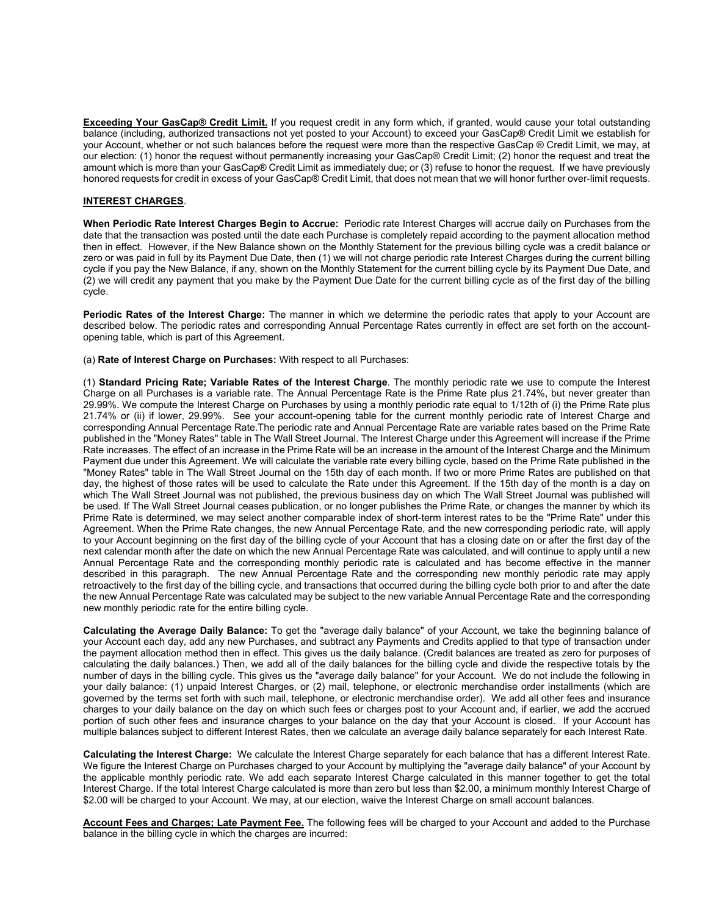**Exceeding Your GasCap® Credit Limit.** If you request credit in any form which, if granted, would cause your total outstanding balance (including, authorized transactions not yet posted to your Account) to exceed your GasCap® Credit Limit we establish for your Account, whether or not such balances before the request were more than the respective GasCap ® Credit Limit, we may, at our election: (1) honor the request without permanently increasing your GasCap® Credit Limit; (2) honor the request and treat the amount which is more than your GasCap® Credit Limit as immediately due; or (3) refuse to honor the request. If we have previously honored requests for credit in excess of your GasCap® Credit Limit, that does not mean that we will honor further over-limit requests.

## **INTEREST CHARGES**.

**When Periodic Rate Interest Charges Begin to Accrue:** Periodic rate Interest Charges will accrue daily on Purchases from the date that the transaction was posted until the date each Purchase is completely repaid according to the payment allocation method then in effect. However, if the New Balance shown on the Monthly Statement for the previous billing cycle was a credit balance or zero or was paid in full by its Payment Due Date, then (1) we will not charge periodic rate Interest Charges during the current billing cycle if you pay the New Balance, if any, shown on the Monthly Statement for the current billing cycle by its Payment Due Date, and (2) we will credit any payment that you make by the Payment Due Date for the current billing cycle as of the first day of the billing cycle.

**Periodic Rates of the Interest Charge:** The manner in which we determine the periodic rates that apply to your Account are described below. The periodic rates and corresponding Annual Percentage Rates currently in effect are set forth on the accountopening table, which is part of this Agreement.

(a) **Rate of Interest Charge on Purchases:** With respect to all Purchases:

(1) **Standard Pricing Rate; Variable Rates of the Interest Charge**. The monthly periodic rate we use to compute the Interest Charge on all Purchases is a variable rate. The Annual Percentage Rate is the Prime Rate plus 21.74%, but never greater than 29.99%. We compute the Interest Charge on Purchases by using a monthly periodic rate equal to 1/12th of (i) the Prime Rate plus 21.74% or (ii) if lower, 29.99%. See your account-opening table for the current monthly periodic rate of Interest Charge and corresponding Annual Percentage Rate.The periodic rate and Annual Percentage Rate are variable rates based on the Prime Rate published in the "Money Rates" table in The Wall Street Journal. The Interest Charge under this Agreement will increase if the Prime Rate increases. The effect of an increase in the Prime Rate will be an increase in the amount of the Interest Charge and the Minimum Payment due under this Agreement. We will calculate the variable rate every billing cycle, based on the Prime Rate published in the "Money Rates" table in The Wall Street Journal on the 15th day of each month. If two or more Prime Rates are published on that day, the highest of those rates will be used to calculate the Rate under this Agreement. If the 15th day of the month is a day on which The Wall Street Journal was not published, the previous business day on which The Wall Street Journal was published will be used. If The Wall Street Journal ceases publication, or no longer publishes the Prime Rate, or changes the manner by which its Prime Rate is determined, we may select another comparable index of short-term interest rates to be the "Prime Rate" under this Agreement. When the Prime Rate changes, the new Annual Percentage Rate, and the new corresponding periodic rate, will apply to your Account beginning on the first day of the billing cycle of your Account that has a closing date on or after the first day of the next calendar month after the date on which the new Annual Percentage Rate was calculated, and will continue to apply until a new Annual Percentage Rate and the corresponding monthly periodic rate is calculated and has become effective in the manner described in this paragraph. The new Annual Percentage Rate and the corresponding new monthly periodic rate may apply retroactively to the first day of the billing cycle, and transactions that occurred during the billing cycle both prior to and after the date the new Annual Percentage Rate was calculated may be subject to the new variable Annual Percentage Rate and the corresponding new monthly periodic rate for the entire billing cycle.

**Calculating the Average Daily Balance:** To get the "average daily balance" of your Account, we take the beginning balance of your Account each day, add any new Purchases, and subtract any Payments and Credits applied to that type of transaction under the payment allocation method then in effect. This gives us the daily balance. (Credit balances are treated as zero for purposes of calculating the daily balances.) Then, we add all of the daily balances for the billing cycle and divide the respective totals by the number of days in the billing cycle. This gives us the "average daily balance" for your Account. We do not include the following in your daily balance: (1) unpaid Interest Charges, or (2) mail, telephone, or electronic merchandise order installments (which are governed by the terms set forth with such mail, telephone, or electronic merchandise order). We add all other fees and insurance charges to your daily balance on the day on which such fees or charges post to your Account and, if earlier, we add the accrued portion of such other fees and insurance charges to your balance on the day that your Account is closed. If your Account has multiple balances subject to different Interest Rates, then we calculate an average daily balance separately for each Interest Rate.

**Calculating the Interest Charge:** We calculate the Interest Charge separately for each balance that has a different Interest Rate. We figure the Interest Charge on Purchases charged to your Account by multiplying the "average daily balance" of your Account by the applicable monthly periodic rate. We add each separate Interest Charge calculated in this manner together to get the total Interest Charge. If the total Interest Charge calculated is more than zero but less than \$2.00, a minimum monthly Interest Charge of \$2.00 will be charged to your Account. We may, at our election, waive the Interest Charge on small account balances.

**Account Fees and Charges; Late Payment Fee.** The following fees will be charged to your Account and added to the Purchase balance in the billing cycle in which the charges are incurred: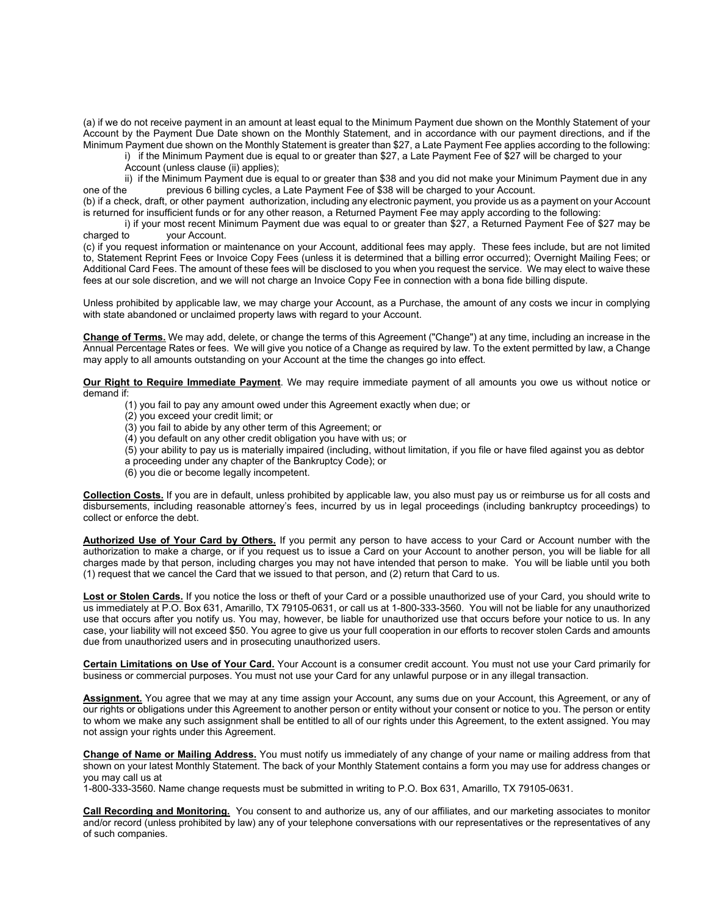(a) if we do not receive payment in an amount at least equal to the Minimum Payment due shown on the Monthly Statement of your Account by the Payment Due Date shown on the Monthly Statement, and in accordance with our payment directions, and if the Minimum Payment due shown on the Monthly Statement is greater than \$27, a Late Payment Fee applies according to the following:

i) if the Minimum Payment due is equal to or greater than \$27, a Late Payment Fee of \$27 will be charged to your Account (unless clause (ii) applies);

ii) if the Minimum Payment due is equal to or greater than \$38 and you did not make your Minimum Payment due in any<br>one of the previous 6 billing cycles, a Late Payment Fee of \$38 will be charged to your Account. previous 6 billing cycles, a Late Payment Fee of \$38 will be charged to your Account.

(b) if a check, draft, or other payment authorization, including any electronic payment, you provide us as a payment on your Account is returned for insufficient funds or for any other reason, a Returned Payment Fee may apply according to the following:

 i) if your most recent Minimum Payment due was equal to or greater than \$27, a Returned Payment Fee of \$27 may be charged to your Account.

(c) if you request information or maintenance on your Account, additional fees may apply. These fees include, but are not limited to, Statement Reprint Fees or Invoice Copy Fees (unless it is determined that a billing error occurred); Overnight Mailing Fees; or Additional Card Fees. The amount of these fees will be disclosed to you when you request the service. We may elect to waive these fees at our sole discretion, and we will not charge an Invoice Copy Fee in connection with a bona fide billing dispute.

Unless prohibited by applicable law, we may charge your Account, as a Purchase, the amount of any costs we incur in complying with state abandoned or unclaimed property laws with regard to your Account.

**Change of Terms.** We may add, delete, or change the terms of this Agreement ("Change") at any time, including an increase in the Annual Percentage Rates or fees. We will give you notice of a Change as required by law. To the extent permitted by law, a Change may apply to all amounts outstanding on your Account at the time the changes go into effect.

**Our Right to Require Immediate Payment**. We may require immediate payment of all amounts you owe us without notice or demand if:

- (1) you fail to pay any amount owed under this Agreement exactly when due; or
- (2) you exceed your credit limit; or
- (3) you fail to abide by any other term of this Agreement; or
- (4) you default on any other credit obligation you have with us; or
- (5) your ability to pay us is materially impaired (including, without limitation, if you file or have filed against you as debtor
- a proceeding under any chapter of the Bankruptcy Code); or
- (6) you die or become legally incompetent.

**Collection Costs.** If you are in default, unless prohibited by applicable law, you also must pay us or reimburse us for all costs and disbursements, including reasonable attorney's fees, incurred by us in legal proceedings (including bankruptcy proceedings) to collect or enforce the debt.

**Authorized Use of Your Card by Others.** If you permit any person to have access to your Card or Account number with the authorization to make a charge, or if you request us to issue a Card on your Account to another person, you will be liable for all charges made by that person, including charges you may not have intended that person to make. You will be liable until you both (1) request that we cancel the Card that we issued to that person, and (2) return that Card to us.

**Lost or Stolen Cards.** If you notice the loss or theft of your Card or a possible unauthorized use of your Card, you should write to us immediately at P.O. Box 631, Amarillo, TX 79105-0631, or call us at 1-800-333-3560. You will not be liable for any unauthorized use that occurs after you notify us. You may, however, be liable for unauthorized use that occurs before your notice to us. In any case, your liability will not exceed \$50. You agree to give us your full cooperation in our efforts to recover stolen Cards and amounts due from unauthorized users and in prosecuting unauthorized users.

**Certain Limitations on Use of Your Card.** Your Account is a consumer credit account. You must not use your Card primarily for business or commercial purposes. You must not use your Card for any unlawful purpose or in any illegal transaction.

**Assignment.** You agree that we may at any time assign your Account, any sums due on your Account, this Agreement, or any of our rights or obligations under this Agreement to another person or entity without your consent or notice to you. The person or entity to whom we make any such assignment shall be entitled to all of our rights under this Agreement, to the extent assigned. You may not assign your rights under this Agreement.

**Change of Name or Mailing Address.** You must notify us immediately of any change of your name or mailing address from that shown on your latest Monthly Statement. The back of your Monthly Statement contains a form you may use for address changes or you may call us at

1-800-333-3560. Name change requests must be submitted in writing to P.O. Box 631, Amarillo, TX 79105-0631.

**Call Recording and Monitoring.** You consent to and authorize us, any of our affiliates, and our marketing associates to monitor and/or record (unless prohibited by law) any of your telephone conversations with our representatives or the representatives of any of such companies.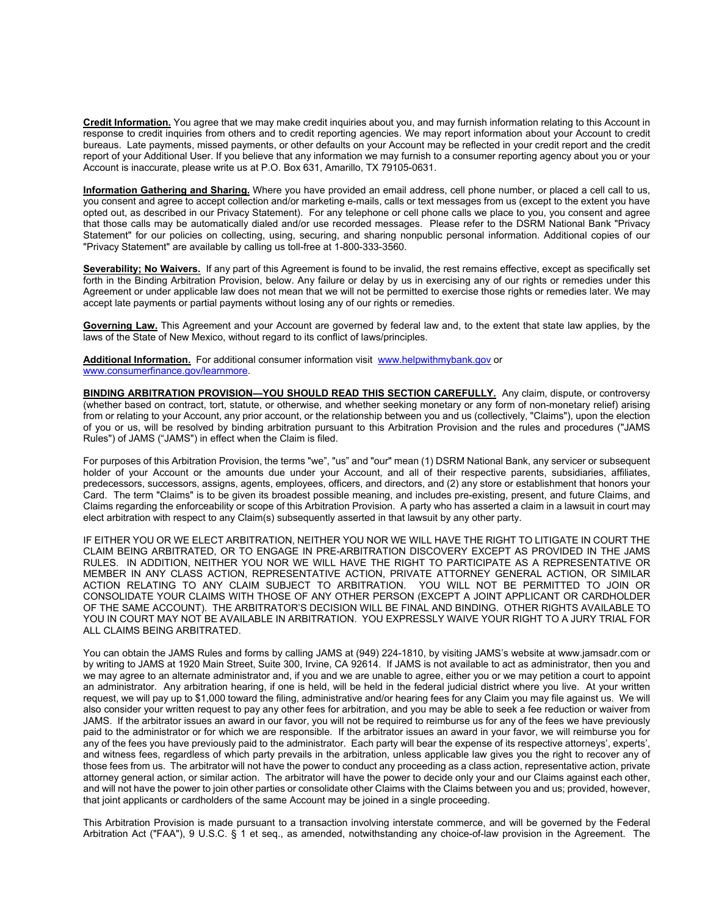**Credit Information.** You agree that we may make credit inquiries about you, and may furnish information relating to this Account in response to credit inquiries from others and to credit reporting agencies. We may report information about your Account to credit bureaus. Late payments, missed payments, or other defaults on your Account may be reflected in your credit report and the credit report of your Additional User. If you believe that any information we may furnish to a consumer reporting agency about you or your Account is inaccurate, please write us at P.O. Box 631, Amarillo, TX 79105-0631.

**Information Gathering and Sharing.** Where you have provided an email address, cell phone number, or placed a cell call to us, you consent and agree to accept collection and/or marketing e-mails, calls or text messages from us (except to the extent you have opted out, as described in our Privacy Statement). For any telephone or cell phone calls we place to you, you consent and agree that those calls may be automatically dialed and/or use recorded messages. Please refer to the DSRM National Bank "Privacy Statement" for our policies on collecting, using, securing, and sharing nonpublic personal information. Additional copies of our "Privacy Statement" are available by calling us toll-free at 1-800-333-3560.

**Severability; No Waivers.** If any part of this Agreement is found to be invalid, the rest remains effective, except as specifically set forth in the Binding Arbitration Provision, below. Any failure or delay by us in exercising any of our rights or remedies under this Agreement or under applicable law does not mean that we will not be permitted to exercise those rights or remedies later. We may accept late payments or partial payments without losing any of our rights or remedies.

**Governing Law.** This Agreement and your Account are governed by federal law and, to the extent that state law applies, by the laws of the State of New Mexico, without regard to its conflict of laws/principles.

**Additional Information.** For additional consumer information visit www.helpwithmybank.gov or www.consumerfinance.gov/learnmore.

**BINDING ARBITRATION PROVISION—YOU SHOULD READ THIS SECTION CAREFULLY.** Any claim, dispute, or controversy (whether based on contract, tort, statute, or otherwise, and whether seeking monetary or any form of non-monetary relief) arising from or relating to your Account, any prior account, or the relationship between you and us (collectively, "Claims"), upon the election of you or us, will be resolved by binding arbitration pursuant to this Arbitration Provision and the rules and procedures ("JAMS Rules") of JAMS ("JAMS") in effect when the Claim is filed.

For purposes of this Arbitration Provision, the terms "we", "us" and "our" mean (1) DSRM National Bank, any servicer or subsequent holder of your Account or the amounts due under your Account, and all of their respective parents, subsidiaries, affiliates, predecessors, successors, assigns, agents, employees, officers, and directors, and (2) any store or establishment that honors your Card. The term "Claims" is to be given its broadest possible meaning, and includes pre-existing, present, and future Claims, and Claims regarding the enforceability or scope of this Arbitration Provision. A party who has asserted a claim in a lawsuit in court may elect arbitration with respect to any Claim(s) subsequently asserted in that lawsuit by any other party.

IF EITHER YOU OR WE ELECT ARBITRATION, NEITHER YOU NOR WE WILL HAVE THE RIGHT TO LITIGATE IN COURT THE CLAIM BEING ARBITRATED, OR TO ENGAGE IN PRE-ARBITRATION DISCOVERY EXCEPT AS PROVIDED IN THE JAMS RULES. IN ADDITION, NEITHER YOU NOR WE WILL HAVE THE RIGHT TO PARTICIPATE AS A REPRESENTATIVE OR MEMBER IN ANY CLASS ACTION, REPRESENTATIVE ACTION, PRIVATE ATTORNEY GENERAL ACTION, OR SIMILAR ACTION RELATING TO ANY CLAIM SUBJECT TO ARBITRATION. YOU WILL NOT BE PERMITTED TO JOIN OR CONSOLIDATE YOUR CLAIMS WITH THOSE OF ANY OTHER PERSON (EXCEPT A JOINT APPLICANT OR CARDHOLDER OF THE SAME ACCOUNT). THE ARBITRATOR'S DECISION WILL BE FINAL AND BINDING. OTHER RIGHTS AVAILABLE TO YOU IN COURT MAY NOT BE AVAILABLE IN ARBITRATION. YOU EXPRESSLY WAIVE YOUR RIGHT TO A JURY TRIAL FOR ALL CLAIMS BEING ARBITRATED.

You can obtain the JAMS Rules and forms by calling JAMS at (949) 224-1810, by visiting JAMS's website at www.jamsadr.com or by writing to JAMS at 1920 Main Street, Suite 300, Irvine, CA 92614. If JAMS is not available to act as administrator, then you and we may agree to an alternate administrator and, if you and we are unable to agree, either you or we may petition a court to appoint an administrator. Any arbitration hearing, if one is held, will be held in the federal judicial district where you live. At your written request, we will pay up to \$1,000 toward the filing, administrative and/or hearing fees for any Claim you may file against us. We will also consider your written request to pay any other fees for arbitration, and you may be able to seek a fee reduction or waiver from JAMS. If the arbitrator issues an award in our favor, you will not be required to reimburse us for any of the fees we have previously paid to the administrator or for which we are responsible. If the arbitrator issues an award in your favor, we will reimburse you for any of the fees you have previously paid to the administrator. Each party will bear the expense of its respective attorneys', experts', and witness fees, regardless of which party prevails in the arbitration, unless applicable law gives you the right to recover any of those fees from us. The arbitrator will not have the power to conduct any proceeding as a class action, representative action, private attorney general action, or similar action. The arbitrator will have the power to decide only your and our Claims against each other, and will not have the power to join other parties or consolidate other Claims with the Claims between you and us; provided, however, that joint applicants or cardholders of the same Account may be joined in a single proceeding.

This Arbitration Provision is made pursuant to a transaction involving interstate commerce, and will be governed by the Federal Arbitration Act ("FAA"), 9 U.S.C. § 1 et seq., as amended, notwithstanding any choice-of-law provision in the Agreement. The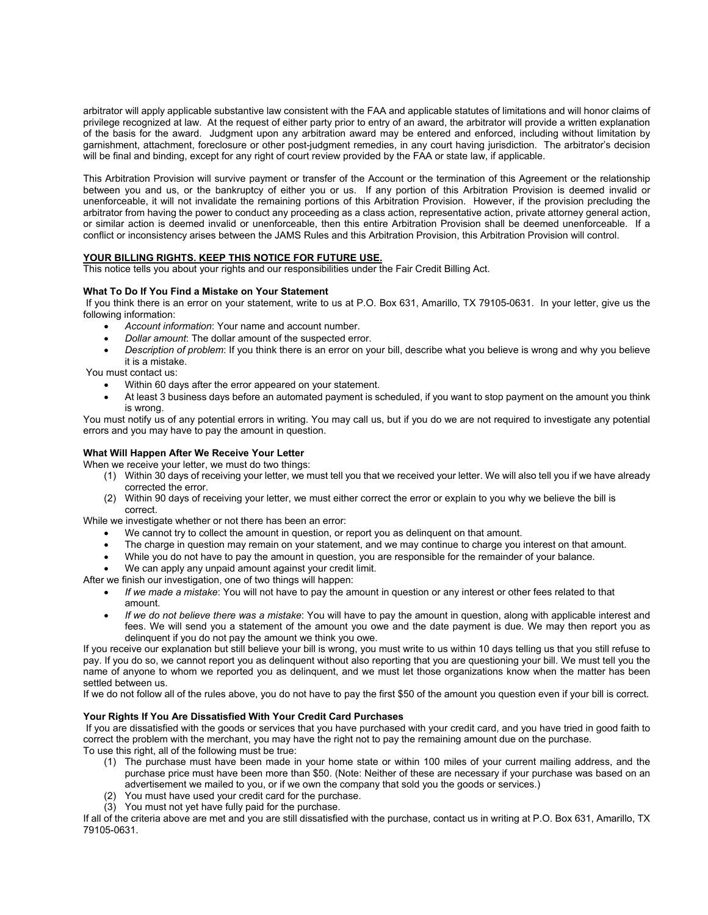arbitrator will apply applicable substantive law consistent with the FAA and applicable statutes of limitations and will honor claims of privilege recognized at law. At the request of either party prior to entry of an award, the arbitrator will provide a written explanation of the basis for the award. Judgment upon any arbitration award may be entered and enforced, including without limitation by garnishment, attachment, foreclosure or other post-judgment remedies, in any court having jurisdiction. The arbitrator's decision will be final and binding, except for any right of court review provided by the FAA or state law, if applicable.

This Arbitration Provision will survive payment or transfer of the Account or the termination of this Agreement or the relationship between you and us, or the bankruptcy of either you or us. If any portion of this Arbitration Provision is deemed invalid or unenforceable, it will not invalidate the remaining portions of this Arbitration Provision. However, if the provision precluding the arbitrator from having the power to conduct any proceeding as a class action, representative action, private attorney general action, or similar action is deemed invalid or unenforceable, then this entire Arbitration Provision shall be deemed unenforceable. If a conflict or inconsistency arises between the JAMS Rules and this Arbitration Provision, this Arbitration Provision will control.

## **YOUR BILLING RIGHTS. KEEP THIS NOTICE FOR FUTURE USE.**

This notice tells you about your rights and our responsibilities under the Fair Credit Billing Act.

### **What To Do If You Find a Mistake on Your Statement**

 If you think there is an error on your statement, write to us at P.O. Box 631, Amarillo, TX 79105-0631. In your letter, give us the following information:

- *Account information*: Your name and account number.
- *Dollar amount*: The dollar amount of the suspected error.
- *Description of problem*: If you think there is an error on your bill, describe what you believe is wrong and why you believe it is a mistake.

You must contact us:

- Within 60 days after the error appeared on your statement.
- At least 3 business days before an automated payment is scheduled, if you want to stop payment on the amount you think is wrong.

You must notify us of any potential errors in writing. You may call us, but if you do we are not required to investigate any potential errors and you may have to pay the amount in question.

#### **What Will Happen After We Receive Your Letter**

When we receive your letter, we must do two things:

- (1) Within 30 days of receiving your letter, we must tell you that we received your letter. We will also tell you if we have already corrected the error.
- (2) Within 90 days of receiving your letter, we must either correct the error or explain to you why we believe the bill is correct.

While we investigate whether or not there has been an error:

- We cannot try to collect the amount in question, or report you as delinquent on that amount.
- The charge in question may remain on your statement, and we may continue to charge you interest on that amount.
- While you do not have to pay the amount in question, you are responsible for the remainder of your balance.
- We can apply any unpaid amount against your credit limit.

After we finish our investigation, one of two things will happen:

- *If we made a mistake*: You will not have to pay the amount in question or any interest or other fees related to that amount.
- *If we do not believe there was a mistake*: You will have to pay the amount in question, along with applicable interest and fees. We will send you a statement of the amount you owe and the date payment is due. We may then report you as delinquent if you do not pay the amount we think you owe.

If you receive our explanation but still believe your bill is wrong, you must write to us within 10 days telling us that you still refuse to pay. If you do so, we cannot report you as delinquent without also reporting that you are questioning your bill. We must tell you the name of anyone to whom we reported you as delinquent, and we must let those organizations know when the matter has been settled between us.

If we do not follow all of the rules above, you do not have to pay the first \$50 of the amount you question even if your bill is correct.

### **Your Rights If You Are Dissatisfied With Your Credit Card Purchases**

 If you are dissatisfied with the goods or services that you have purchased with your credit card, and you have tried in good faith to correct the problem with the merchant, you may have the right not to pay the remaining amount due on the purchase. To use this right, all of the following must be true:

- (1) The purchase must have been made in your home state or within 100 miles of your current mailing address, and the purchase price must have been more than \$50. (Note: Neither of these are necessary if your purchase was based on an advertisement we mailed to you, or if we own the company that sold you the goods or services.)
- (2) You must have used your credit card for the purchase.
- (3) You must not yet have fully paid for the purchase.

If all of the criteria above are met and you are still dissatisfied with the purchase, contact us in writing at P.O. Box 631, Amarillo, TX 79105-0631.